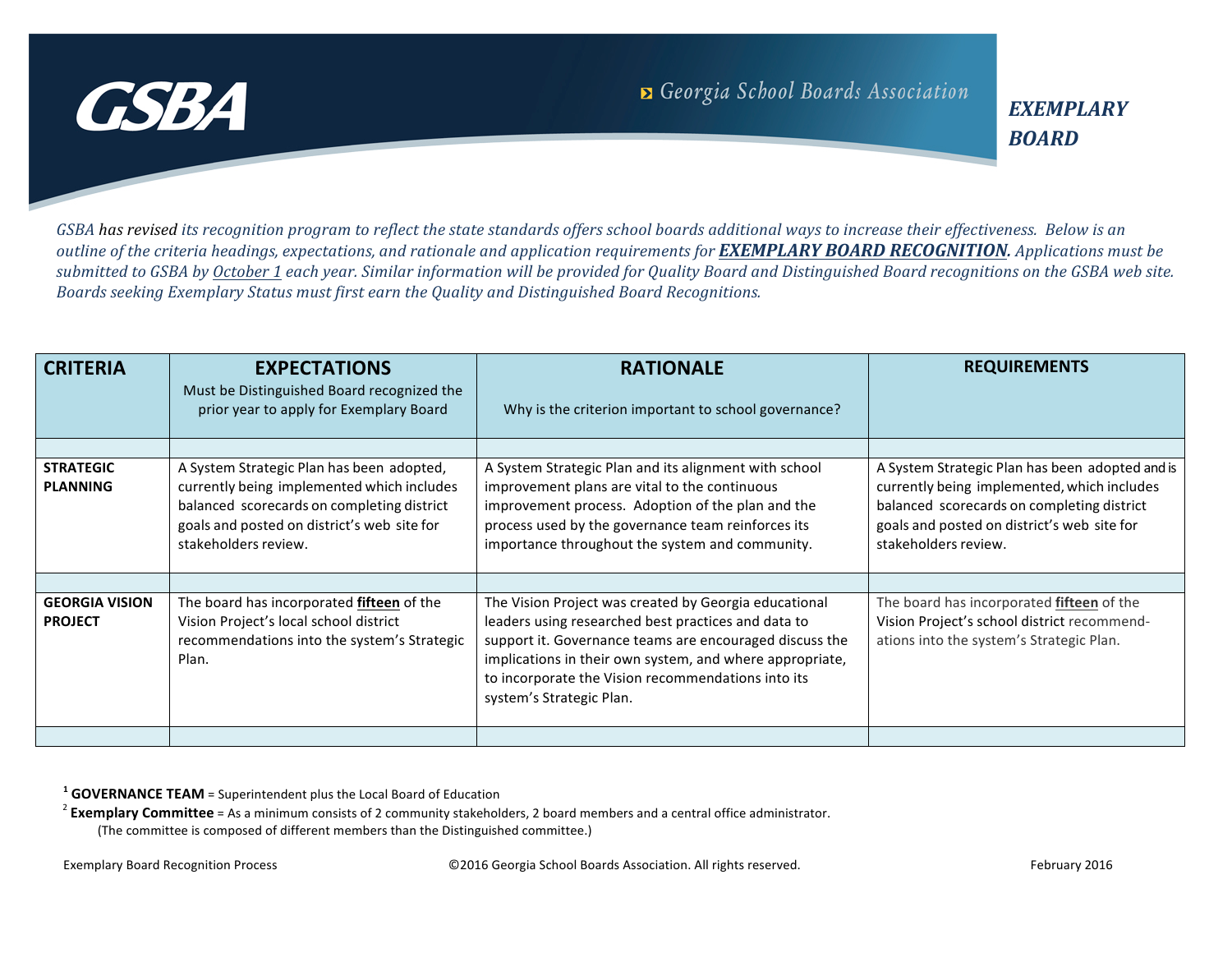

GSBA has revised its recognition program to reflect the state standards offers school boards additional ways to increase their effectiveness. Below is an *outline* of the criteria headings, expectations, and rationale and application requirements for **EXEMPLARY BOARD RECOGNITION**. Applications must be submitted to GSBA by October 1 each year. Similar information will be provided for Quality Board and Distinguished Board recognitions on the GSBA web site. *Boards seeking Exemplary Status must first earn the Quality and Distinguished Board Recognitions.*

| <b>CRITERIA</b>                         | <b>EXPECTATIONS</b>                                                                                                                                                                                          | <b>RATIONALE</b>                                                                                                                                                                                                                                                                                                      | <b>REQUIREMENTS</b>                                                                                                                                                                                                 |
|-----------------------------------------|--------------------------------------------------------------------------------------------------------------------------------------------------------------------------------------------------------------|-----------------------------------------------------------------------------------------------------------------------------------------------------------------------------------------------------------------------------------------------------------------------------------------------------------------------|---------------------------------------------------------------------------------------------------------------------------------------------------------------------------------------------------------------------|
|                                         | Must be Distinguished Board recognized the<br>prior year to apply for Exemplary Board                                                                                                                        | Why is the criterion important to school governance?                                                                                                                                                                                                                                                                  |                                                                                                                                                                                                                     |
|                                         |                                                                                                                                                                                                              |                                                                                                                                                                                                                                                                                                                       |                                                                                                                                                                                                                     |
| <b>STRATEGIC</b><br><b>PLANNING</b>     | A System Strategic Plan has been adopted,<br>currently being implemented which includes<br>balanced scorecards on completing district<br>goals and posted on district's web site for<br>stakeholders review. | A System Strategic Plan and its alignment with school<br>improvement plans are vital to the continuous<br>improvement process. Adoption of the plan and the<br>process used by the governance team reinforces its<br>importance throughout the system and community.                                                  | A System Strategic Plan has been adopted and is<br>currently being implemented, which includes<br>balanced scorecards on completing district<br>goals and posted on district's web site for<br>stakeholders review. |
|                                         |                                                                                                                                                                                                              |                                                                                                                                                                                                                                                                                                                       |                                                                                                                                                                                                                     |
| <b>GEORGIA VISION</b><br><b>PROJECT</b> | The board has incorporated fifteen of the<br>Vision Project's local school district<br>recommendations into the system's Strategic<br>Plan.                                                                  | The Vision Project was created by Georgia educational<br>leaders using researched best practices and data to<br>support it. Governance teams are encouraged discuss the<br>implications in their own system, and where appropriate,<br>to incorporate the Vision recommendations into its<br>system's Strategic Plan. | The board has incorporated fifteen of the<br>Vision Project's school district recommend-<br>ations into the system's Strategic Plan.                                                                                |
|                                         |                                                                                                                                                                                                              |                                                                                                                                                                                                                                                                                                                       |                                                                                                                                                                                                                     |

<sup>1</sup> **GOVERNANCE TEAM** = Superintendent plus the Local Board of Education

<sup>2</sup> **Exemplary Committee** = As a minimum consists of 2 community stakeholders, 2 board members and a central office administrator.

(The committee is composed of different members than the Distinguished committee.)

Exemplary Board Recognition Process entitled as the Capacity CO2016 Georgia School Boards Association. All rights reserved.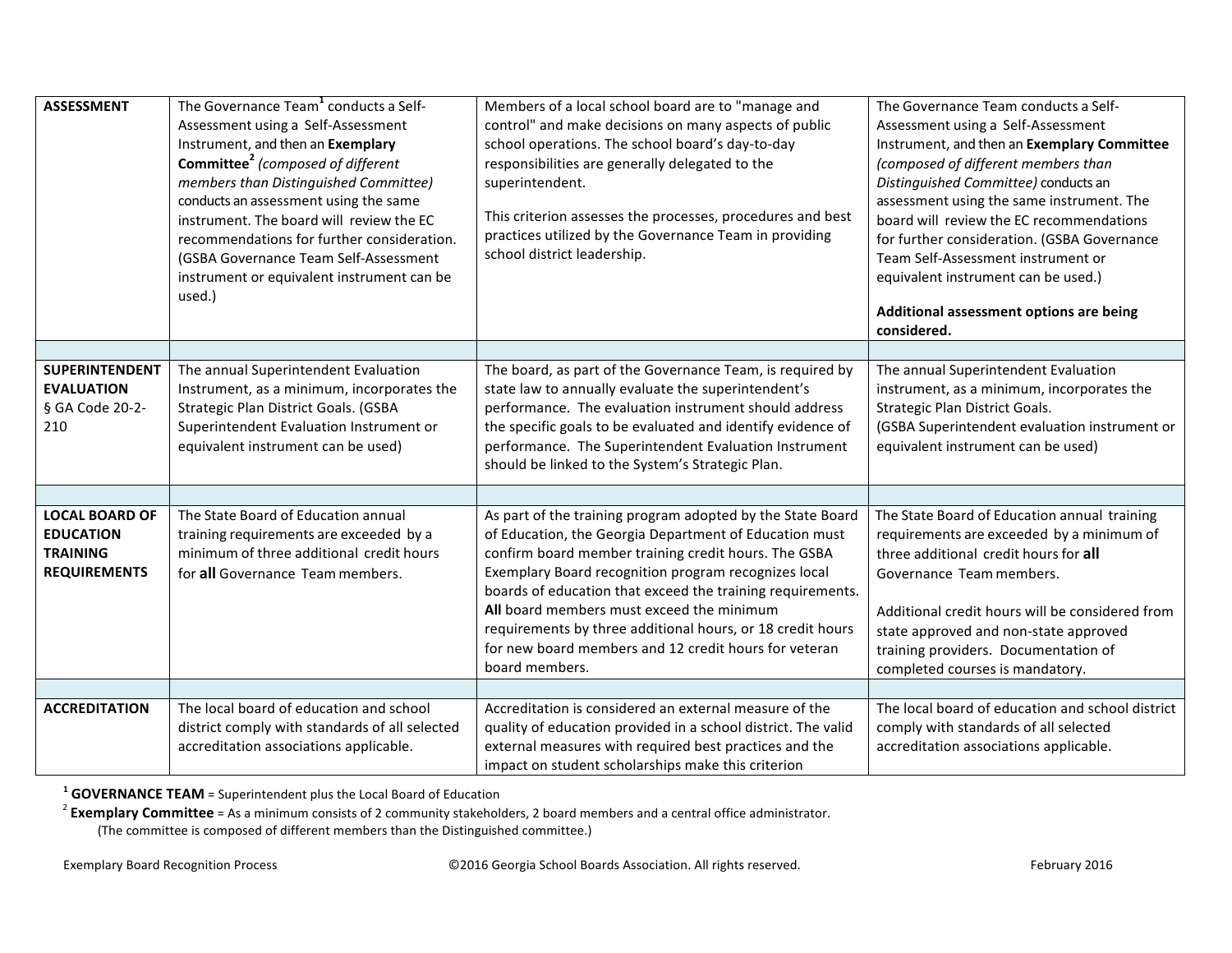| <b>ASSESSMENT</b>                                                                   | The Governance Team <sup>1</sup> conducts a Self-<br>Assessment using a Self-Assessment<br>Instrument, and then an Exemplary<br><b>Committee<sup>2</sup></b> (composed of different<br>members than Distinguished Committee)<br>conducts an assessment using the same<br>instrument. The board will review the EC<br>recommendations for further consideration.<br>(GSBA Governance Team Self-Assessment<br>instrument or equivalent instrument can be<br>used.) | Members of a local school board are to "manage and<br>control" and make decisions on many aspects of public<br>school operations. The school board's day-to-day<br>responsibilities are generally delegated to the<br>superintendent.<br>This criterion assesses the processes, procedures and best<br>practices utilized by the Governance Team in providing<br>school district leadership.                                                                                             | The Governance Team conducts a Self-<br>Assessment using a Self-Assessment<br>Instrument, and then an Exemplary Committee<br>(composed of different members than<br>Distinguished Committee) conducts an<br>assessment using the same instrument. The<br>board will review the EC recommendations<br>for further consideration. (GSBA Governance<br>Team Self-Assessment instrument or<br>equivalent instrument can be used.)<br>Additional assessment options are being<br>considered. |
|-------------------------------------------------------------------------------------|------------------------------------------------------------------------------------------------------------------------------------------------------------------------------------------------------------------------------------------------------------------------------------------------------------------------------------------------------------------------------------------------------------------------------------------------------------------|------------------------------------------------------------------------------------------------------------------------------------------------------------------------------------------------------------------------------------------------------------------------------------------------------------------------------------------------------------------------------------------------------------------------------------------------------------------------------------------|-----------------------------------------------------------------------------------------------------------------------------------------------------------------------------------------------------------------------------------------------------------------------------------------------------------------------------------------------------------------------------------------------------------------------------------------------------------------------------------------|
|                                                                                     |                                                                                                                                                                                                                                                                                                                                                                                                                                                                  |                                                                                                                                                                                                                                                                                                                                                                                                                                                                                          |                                                                                                                                                                                                                                                                                                                                                                                                                                                                                         |
| <b>SUPERINTENDENT</b><br><b>EVALUATION</b><br>§ GA Code 20-2-<br>210                | The annual Superintendent Evaluation<br>Instrument, as a minimum, incorporates the<br>Strategic Plan District Goals. (GSBA<br>Superintendent Evaluation Instrument or<br>equivalent instrument can be used)                                                                                                                                                                                                                                                      | The board, as part of the Governance Team, is required by<br>state law to annually evaluate the superintendent's<br>performance. The evaluation instrument should address<br>the specific goals to be evaluated and identify evidence of<br>performance. The Superintendent Evaluation Instrument<br>should be linked to the System's Strategic Plan.                                                                                                                                    | The annual Superintendent Evaluation<br>instrument, as a minimum, incorporates the<br>Strategic Plan District Goals.<br>(GSBA Superintendent evaluation instrument or<br>equivalent instrument can be used)                                                                                                                                                                                                                                                                             |
|                                                                                     |                                                                                                                                                                                                                                                                                                                                                                                                                                                                  |                                                                                                                                                                                                                                                                                                                                                                                                                                                                                          |                                                                                                                                                                                                                                                                                                                                                                                                                                                                                         |
| <b>LOCAL BOARD OF</b><br><b>EDUCATION</b><br><b>TRAINING</b><br><b>REQUIREMENTS</b> | The State Board of Education annual<br>training requirements are exceeded by a<br>minimum of three additional credit hours<br>for all Governance Team members.                                                                                                                                                                                                                                                                                                   | As part of the training program adopted by the State Board<br>of Education, the Georgia Department of Education must<br>confirm board member training credit hours. The GSBA<br>Exemplary Board recognition program recognizes local<br>boards of education that exceed the training requirements.<br>All board members must exceed the minimum<br>requirements by three additional hours, or 18 credit hours<br>for new board members and 12 credit hours for veteran<br>board members. | The State Board of Education annual training<br>requirements are exceeded by a minimum of<br>three additional credit hours for all<br>Governance Team members.<br>Additional credit hours will be considered from<br>state approved and non-state approved<br>training providers. Documentation of<br>completed courses is mandatory.                                                                                                                                                   |
|                                                                                     |                                                                                                                                                                                                                                                                                                                                                                                                                                                                  | Accreditation is considered an external measure of the                                                                                                                                                                                                                                                                                                                                                                                                                                   | The local board of education and school district                                                                                                                                                                                                                                                                                                                                                                                                                                        |
| <b>ACCREDITATION</b>                                                                | The local board of education and school<br>district comply with standards of all selected<br>accreditation associations applicable.                                                                                                                                                                                                                                                                                                                              | quality of education provided in a school district. The valid<br>external measures with required best practices and the<br>impact on student scholarships make this criterion                                                                                                                                                                                                                                                                                                            | comply with standards of all selected<br>accreditation associations applicable.                                                                                                                                                                                                                                                                                                                                                                                                         |

<sup>1</sup> **GOVERNANCE TEAM** = Superintendent plus the Local Board of Education

<sup>2</sup> **Exemplary Committee** = As a minimum consists of 2 community stakeholders, 2 board members and a central office administrator.

(The committee is composed of different members than the Distinguished committee.)